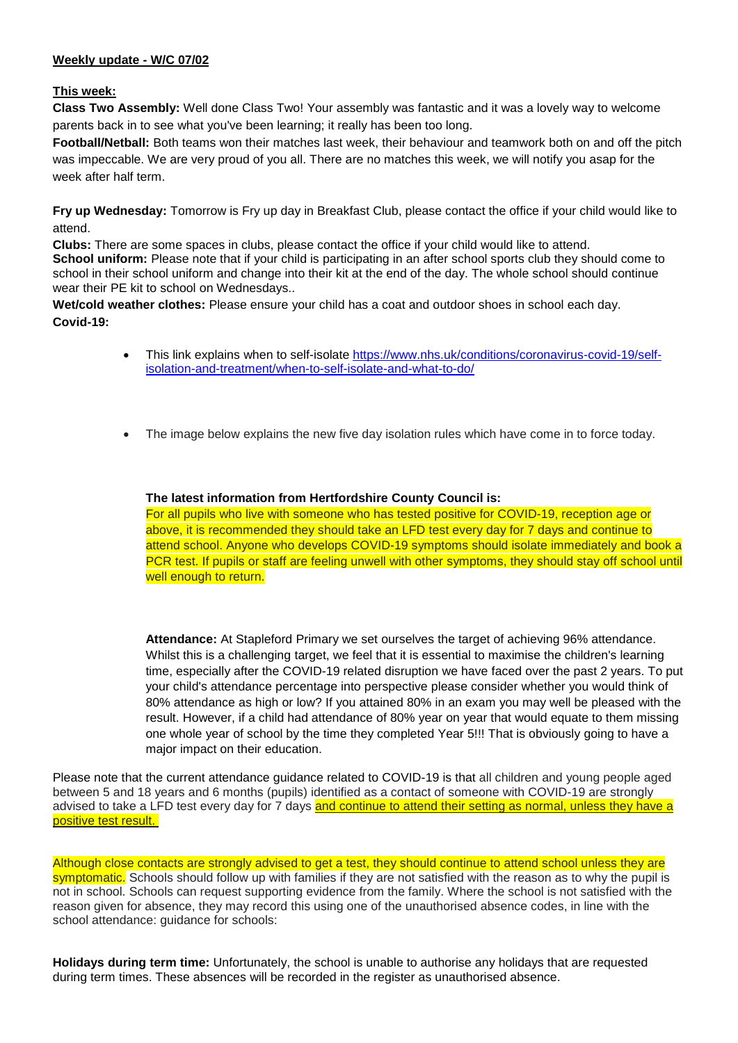# **Weekly update - W/C 07/02**

## **This week:**

**Class Two Assembly:** Well done Class Two! Your assembly was fantastic and it was a lovely way to welcome parents back in to see what you've been learning; it really has been too long.

**Football/Netball:** Both teams won their matches last week, their behaviour and teamwork both on and off the pitch was impeccable. We are very proud of you all. There are no matches this week, we will notify you asap for the week after half term.

**Fry up Wednesday:** Tomorrow is Fry up day in Breakfast Club, please contact the office if your child would like to attend.

**Clubs:** There are some spaces in clubs, please contact the office if your child would like to attend. **School uniform:** Please note that if your child is participating in an after school sports club they should come to school in their school uniform and change into their kit at the end of the day. The whole school should continue wear their PE kit to school on Wednesdays..

**Wet/cold weather clothes:** Please ensure your child has a coat and outdoor shoes in school each day. **Covid-19:** 

- This link explains when to self-isolate [https://www.nhs.uk/conditions/coronavirus-covid-19/self](https://www.nhs.uk/conditions/coronavirus-covid-19/self-isolation-and-treatment/when-to-self-isolate-and-what-to-do/)[isolation-and-treatment/when-to-self-isolate-and-what-to-do/](https://www.nhs.uk/conditions/coronavirus-covid-19/self-isolation-and-treatment/when-to-self-isolate-and-what-to-do/)
- The image below explains the new five day isolation rules which have come in to force today.

## **The latest information from Hertfordshire County Council is:**

For all pupils who live with someone who has tested positive for COVID-19, reception age or above, it is recommended they should take an LFD test every day for 7 days and continue to attend school. Anyone who develops COVID-19 symptoms should isolate immediately and book a PCR test. If pupils or staff are feeling unwell with other symptoms, they should stay off school until well enough to return.

**Attendance:** At Stapleford Primary we set ourselves the target of achieving 96% attendance. Whilst this is a challenging target, we feel that it is essential to maximise the children's learning time, especially after the COVID-19 related disruption we have faced over the past 2 years. To put your child's attendance percentage into perspective please consider whether you would think of 80% attendance as high or low? If you attained 80% in an exam you may well be pleased with the result. However, if a child had attendance of 80% year on year that would equate to them missing one whole year of school by the time they completed Year 5!!! That is obviously going to have a major impact on their education.

Please note that the current attendance guidance related to COVID-19 is that all children and young people aged between 5 and 18 years and 6 months (pupils) identified as a contact of someone with COVID-19 are strongly advised to take a LFD test every day for 7 days and continue to attend their setting as normal, unless they have a positive test result.

Although close contacts are strongly advised to get a test, they should continue to attend school unless they are symptomatic. Schools should follow up with families if they are not satisfied with the reason as to why the pupil is not in school. Schools can request supporting evidence from the family. Where the school is not satisfied with the reason given for absence, they may record this using one of the unauthorised absence codes, in line with the school attendance: guidance for schools:

**Holidays during term time:** Unfortunately, the school is unable to authorise any holidays that are requested during term times. These absences will be recorded in the register as unauthorised absence.